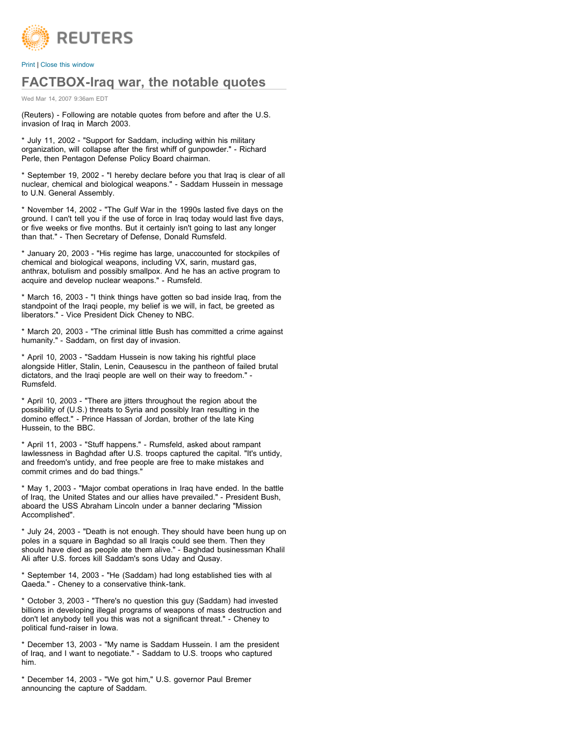

[Print](javascript:window.print();) I [Close this window](javascript:%20window.close();)

## **FACTBOX-Iraq war, the notable quotes**

Wed Mar 14, 2007 9:36am EDT

(Reuters) - Following are notable quotes from before and after the U.S. invasion of Iraq in March 2003.

\* July 11, 2002 - "Support for Saddam, including within his military organization, will collapse after the first whiff of gunpowder." - Richard Perle, then Pentagon Defense Policy Board chairman.

\* September 19, 2002 - "I hereby declare before you that Iraq is clear of all nuclear, chemical and biological weapons." - Saddam Hussein in message to U.N. General Assembly.

\* November 14, 2002 - "The Gulf War in the 1990s lasted five days on the ground. I can't tell you if the use of force in Iraq today would last five days, or five weeks or five months. But it certainly isn't going to last any longer than that." - Then Secretary of Defense, Donald Rumsfeld.

\* January 20, 2003 - "His regime has large, unaccounted for stockpiles of chemical and biological weapons, including VX, sarin, mustard gas, anthrax, botulism and possibly smallpox. And he has an active program to acquire and develop nuclear weapons." - Rumsfeld.

\* March 16, 2003 - "I think things have gotten so bad inside Iraq, from the standpoint of the Iraqi people, my belief is we will, in fact, be greeted as liberators." - Vice President Dick Cheney to NBC.

\* March 20, 2003 - "The criminal little Bush has committed a crime against humanity." - Saddam, on first day of invasion.

\* April 10, 2003 - "Saddam Hussein is now taking his rightful place alongside Hitler, Stalin, Lenin, Ceausescu in the pantheon of failed brutal dictators, and the Iraqi people are well on their way to freedom." - Rumsfeld.

\* April 10, 2003 - "There are jitters throughout the region about the possibility of (U.S.) threats to Syria and possibly Iran resulting in the domino effect." - Prince Hassan of Jordan, brother of the late King Hussein, to the BBC.

\* April 11, 2003 - "Stuff happens." - Rumsfeld, asked about rampant lawlessness in Baghdad after U.S. troops captured the capital. "It's untidy, and freedom's untidy, and free people are free to make mistakes and commit crimes and do bad things."

\* May 1, 2003 - "Major combat operations in Iraq have ended. In the battle of Iraq, the United States and our allies have prevailed." - President Bush, aboard the USS Abraham Lincoln under a banner declaring "Mission Accomplished".

\* July 24, 2003 - "Death is not enough. They should have been hung up on poles in a square in Baghdad so all Iraqis could see them. Then they should have died as people ate them alive." - Baghdad businessman Khalil Ali after U.S. forces kill Saddam's sons Uday and Qusay.

\* September 14, 2003 - "He (Saddam) had long established ties with al Qaeda." - Cheney to a conservative think-tank.

\* October 3, 2003 - "There's no question this guy (Saddam) had invested billions in developing illegal programs of weapons of mass destruction and don't let anybody tell you this was not a significant threat." - Cheney to political fund-raiser in Iowa.

\* December 13, 2003 - "My name is Saddam Hussein. I am the president of Iraq, and I want to negotiate." - Saddam to U.S. troops who captured him.

\* December 14, 2003 - "We got him," U.S. governor Paul Bremer announcing the capture of Saddam.